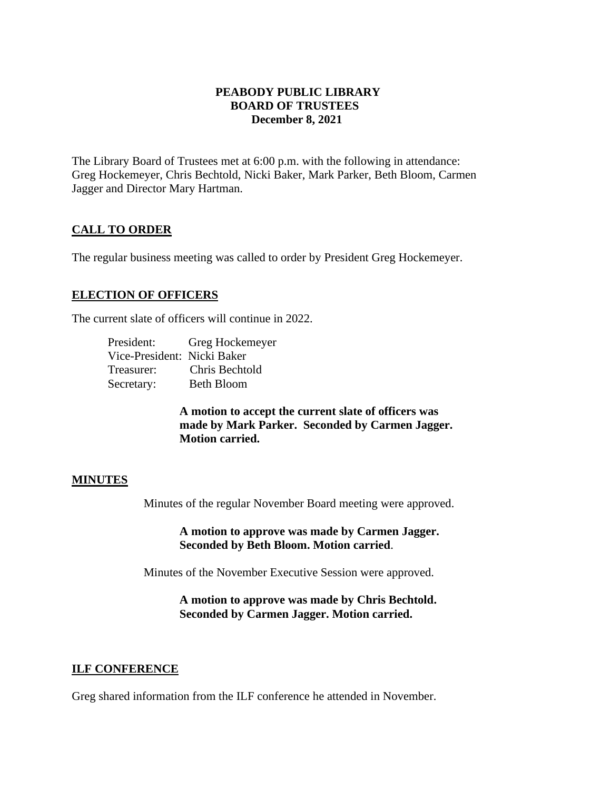# **PEABODY PUBLIC LIBRARY BOARD OF TRUSTEES December 8, 2021**

The Library Board of Trustees met at 6:00 p.m. with the following in attendance: Greg Hockemeyer, Chris Bechtold, Nicki Baker, Mark Parker, Beth Bloom, Carmen Jagger and Director Mary Hartman.

# **CALL TO ORDER**

The regular business meeting was called to order by President Greg Hockemeyer.

# **ELECTION OF OFFICERS**

The current slate of officers will continue in 2022.

| President:                  | Greg Hockemeyer   |
|-----------------------------|-------------------|
| Vice-President: Nicki Baker |                   |
| Treasurer:                  | Chris Bechtold    |
| Secretary:                  | <b>Beth Bloom</b> |

**A motion to accept the current slate of officers was made by Mark Parker. Seconded by Carmen Jagger. Motion carried.** 

# **MINUTES**

Minutes of the regular November Board meeting were approved.

**A motion to approve was made by Carmen Jagger. Seconded by Beth Bloom. Motion carried**.

Minutes of the November Executive Session were approved.

**A motion to approve was made by Chris Bechtold. Seconded by Carmen Jagger. Motion carried.** 

# **ILF CONFERENCE**

Greg shared information from the ILF conference he attended in November.